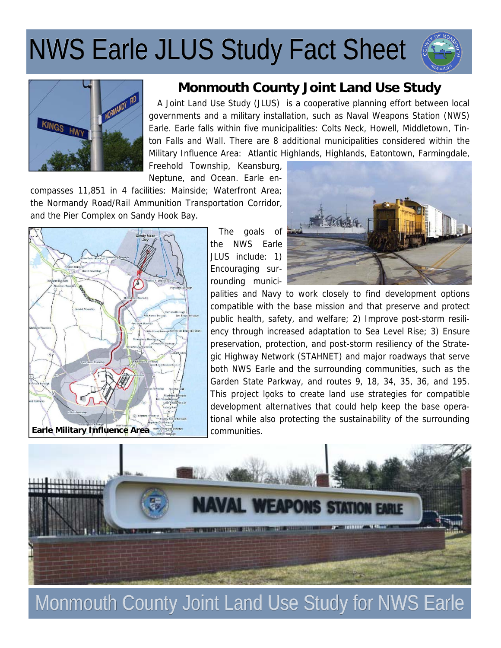## **NWS Earle JLUS Study Fact Sheet**





## **Monmouth County Joint Land Use Study**

 A Joint Land Use Study (JLUS) is a cooperative planning effort between local governments and a military installation, such as Naval Weapons Station (NWS) Earle. Earle falls within five municipalities: Colts Neck, Howell, Middletown, Tinton Falls and Wall. There are 8 additional municipalities considered within the Military Influence Area: Atlantic Highlands, Highlands, Eatontown, Farmingdale,

Freehold Township, Keansburg, Neptune, and Ocean. Earle en-

compasses 11,851 in 4 facilities: Mainside; Waterfront Area; the Normandy Road/Rail Ammunition Transportation Corridor, and the Pier Complex on Sandy Hook Bay.



 The goals of the NWS Earle JLUS include: 1) Encouraging surrounding munici-



palities and Navy to work closely to find development options compatible with the base mission and that preserve and protect public health, safety, and welfare; 2) Improve post-storm resiliency through increased adaptation to Sea Level Rise; 3) Ensure preservation, protection, and post-storm resiliency of the Strategic Highway Network (STAHNET) and major roadways that serve both NWS Earle and the surrounding communities, such as the Garden State Parkway, and routes 9, 18, 34, 35, 36, and 195. This project looks to create land use strategies for compatible development alternatives that could help keep the base operational while also protecting the sustainability of the surrounding communities.



Monmouth County Joint Land Use Study for NWS Earle